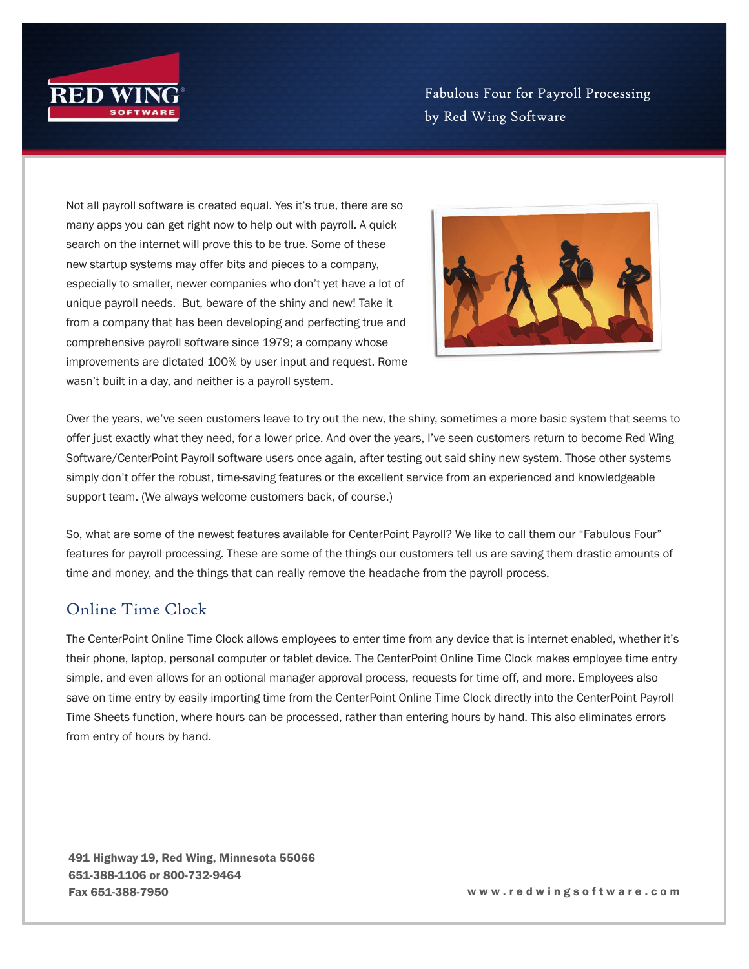

Fabulous Four for Payroll Processing by Red Wing Software

Not all payroll software is created equal. Yes it's true, there are so many apps you can get right now to help out with payroll. A quick search on the internet will prove this to be true. Some of these new startup systems may offer bits and pieces to a company, especially to smaller, newer companies who don't yet have a lot of unique payroll needs. But, beware of the shiny and new! Take it from a company that has been developing and perfecting true and comprehensive payroll software since 1979; a company whose improvements are dictated 100% by user input and request. Rome wasn't built in a day, and neither is a payroll system.



Over the years, we've seen customers leave to try out the new, the shiny, sometimes a more basic system that seems to offer just exactly what they need, for a lower price. And over the years, I've seen customers return to become Red Wing Software/CenterPoint Payroll software users once again, after testing out said shiny new system. Those other systems simply don't offer the robust, time-saving features or the excellent service from an experienced and knowledgeable support team. (We always welcome customers back, of course.)

So, what are some of the newest features available for CenterPoint Payroll? We like to call them our "Fabulous Four" features for payroll processing. These are some of the things our customers tell us are saving them drastic amounts of time and money, and the things that can really remove the headache from the payroll process.

## Online Time Clock

The CenterPoint Online Time Clock allows employees to enter time from any device that is internet enabled, whether it's their phone, laptop, personal computer or tablet device. The CenterPoint Online Time Clock makes employee time entry simple, and even allows for an optional manager approval process, requests for time off, and more. Employees also save on time entry by easily importing time from the CenterPoint Online Time Clock directly into the CenterPoint Payroll Time Sheets function, where hours can be processed, rather than entering hours by hand. This also eliminates errors from entry of hours by hand.

491 Highway 19, Red Wing, Minnesota 55066 651-388-1106 or 800-732-9464 Fax 651-388-7950 w w w . r e d w i n g s o f t w a r e . c o m